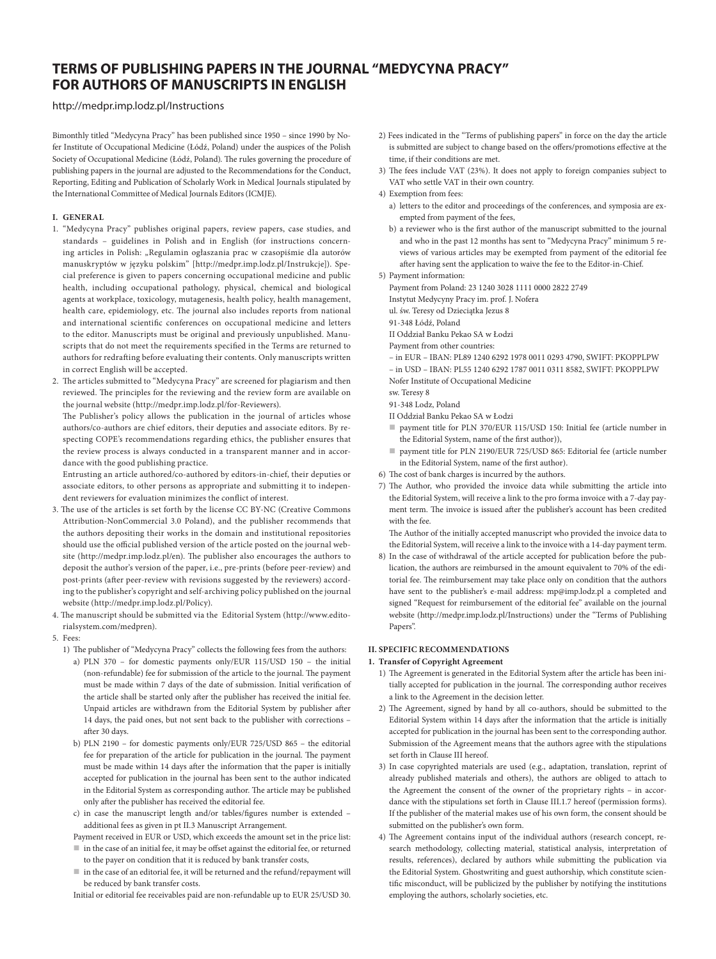# **TERMS OF PUBLISHING PAPERS IN THE JOURNAL "MEDYCYNA PRACY" FOR AUTHORS OF MANUSCRIPTS IN ENGLISH**

# <http://medpr.imp.lodz.pl/Instructions>

Bimonthly titled "Medycyna Pracy" has been published since 1950 – since 1990 by Nofer Institute of Occupational Medicine (Łódź, Poland) under the auspices of the Polish Society of Occupational Medicine (Łódź, Poland). The rules governing the procedure of publishing papers in the journal are adjusted to the [Recommendations for the Conduct,](http://www.icmje.org/urm_main.html)  [Reporting, Editing and Publication of Scholarly Work in Medical Journals](http://www.icmje.org/urm_main.html) stipulated by the International Committee of Medical Journals Editors (ICMJE).

## **I. GENERAL**

1. "Medycyna Pracy" publishes original papers, review papers, case studies, and standards – guidelines in Polish and in English (for instructions concerning articles in Polish: "Regulamin ogłaszania prac w czasopiśmie dla autorów manuskryptów w języku polskim" [http://medpr.imp.lodz.pl/Instrukcje]). Special preference is given to papers concerning occupational medicine and public health, including occupational pathology, physical, chemical and biological agents at workplace, toxicology, mutagenesis, health policy, health management, health care, epidemiology, etc. The journal also includes reports from national and international scientific conferences on occupational medicine and letters to the editor. Manuscripts must be original and previously unpublished. Manuscripts that do not meet the requirements specified in the Terms are returned to authors for redrafting before evaluating their contents. Only manuscripts written in correct English will be accepted.

2. The articles submitted to "Medycyna Pracy" are screened for plagiarism and then reviewed. The principles for the reviewing and the review form are available on the journal website [\(http://medpr.imp.lodz.pl/for-Reviewers](http://medpr.imp.lodz.pl/for-Reviewers)).

The Publisher's policy allows the publication in the journal of articles whose authors/co-authors are chief editors, their deputies and associate editors. By respecting COPE's recommendations regarding ethics, the publisher ensures that the review process is always conducted in a transparent manner and in accordance with the good publishing practice.

Entrusting an article authored/co-authored by editors-in-chief, their deputies or associate editors, to other persons as appropriate and submitting it to independent reviewers for evaluation minimizes the conflict of interest.

- 3. The use of the articles is set forth by the license CC BY-NC [\(Creative Commons](http://creativecommons.org/licenses/by-nc/3.0/pl/deed.en)  [Attribution-NonCommercial 3.0 Poland](http://creativecommons.org/licenses/by-nc/3.0/pl/deed.en)), and the publisher recommends that the authors depositing their works in the domain and institutional repositories should use the official published version of the article posted on the journal website (<http://medpr.imp.lodz.pl/en>). The publisher also encourages the authors to deposit the author's version of the paper, i.e., pre-prints (before peer-review) and post-prints (after peer-review with revisions suggested by the reviewers) according to the publisher's copyright and self-archiving policy published on the journal website (http://medpr.imp.lodz.pl/Policy).
- 4. The manuscript should be submitted via the Editorial System ([http://www.edito](http://www.editorialsystem.com/medpren)[rialsystem.com/medpren](http://www.editorialsystem.com/medpren)).

#### 5. Fees:

- 1) The publisher of "Medycyna Pracy" collects the following fees from the authors:
	- a) PLN 370 for domestic payments only/EUR 115/USD 150 the initial (non-refundable) fee for submission of the article to the journal. The payment must be made within 7 days of the date of submission. Initial verification of the article shall be started only after the publisher has received the initial fee. Unpaid articles are withdrawn from the Editorial System by publisher after 14 days, the paid ones, but not sent back to the publisher with corrections – after 30 days.
	- b) PLN 2190 for domestic payments only/EUR 725/USD 865 the editorial fee for preparation of the article for publication in the journal. The payment must be made within 14 days after the information that the paper is initially accepted for publication in the journal has been sent to the author indicated in the Editorial System as corresponding author. The article may be published only after the publisher has received the editorial fee.
	- c) in case the manuscript length and/or tables/figures number is extended additional fees as given in pt II.3 Manuscript Arrangement.
	- Payment received in EUR or USD, which exceeds the amount set in the price list:  $\blacksquare$  in the case of an initial fee, it may be offset against the editorial fee, or returned
	- to the payer on condition that it is reduced by bank transfer costs, in the case of an editorial fee, it will be returned and the refund/repayment will be reduced by bank transfer costs.
	- Initial or editorial fee receivables paid are non-refundable up to EUR 25/USD 30.
- 2) Fees indicated in the "Terms of publishing papers" in force on the day the article is submitted are subject to change based on the offers/promotions effective at the time, if their conditions are met.
- 3) The fees include VAT (23%). It does not apply to foreign companies subject to VAT who settle VAT in their own country.
- 4) Exemption from fees:
	- a) letters to the editor and proceedings of the conferences, and symposia are exempted from payment of the fees,
	- b) a reviewer who is the first author of the manuscript submitted to the journal and who in the past 12 months has sent to "Medycyna Pracy" minimum 5 reviews of various articles may be exempted from payment of the editorial fee after having sent the application to waive the fee to the Editor-in-Chief.

5) Payment information:

Payment from Poland: 23 1240 3028 1111 0000 2822 2749

Instytut Medycyny Pracy im. prof. J. Nofera

ul. św. Teresy od Dzieciątka Jezus 8

- 91-348 Łódź, Poland
- II Oddział Banku Pekao SA w Łodzi
- Payment from other countries:
- in EUR IBAN: PL89 1240 6292 1978 0011 0293 4790, SWIFT: PKOPPLPW – in USD – IBAN: PL55 1240 6292 1787 0011 0311 8582, SWIFT: PKOPPLPW Nofer Institute of Occupational Medicine
- sw. Teresy 8
- 91-348 Lodz, Poland
- II Oddział Banku Pekao SA w Łodzi
- payment title for PLN 370/EUR 115/USD 150: Initial fee (article number in the Editorial System, name of the first author)),
- payment title for PLN 2190/EUR 725/USD 865: Editorial fee (article number in the Editorial System, name of the first author).
- 6) The cost of bank charges is incurred by the authors.
- 7) The Author, who provided the invoice data while submitting the article into the Editorial System, will receive a link to the pro forma invoice with a 7-day payment term. The invoice is issued after the publisher's account has been credited with the fee.

The Author of the initially accepted manuscript who provided the invoice data to the Editorial System, will receive a link to the invoice with a 14-day payment term.

8) In the case of withdrawal of the article accepted for publication before the publication, the authors are reimbursed in the amount equivalent to 70% of the editorial fee. The reimbursement may take place only on condition that the authors have sent to the publisher's e-mail address: [mp@imp.lodz.pl](mailto:mp@imp.lodz.pl) a completed and signed "Request for reimbursement of the editorial fee" available on the journal website (http://medpr.imp.lodz.pl/Instructions) under the "Terms of Publishing Papers".

# **II. SPECIFIC RECOMMENDATIONS**

#### **1. Transfer of Copyright Agreement**

- 1) The Agreement is generated in the Editorial System after the article has been initially accepted for publication in the journal. The corresponding author receives a link to the Agreement in the decision letter.
- 2) The Agreement, signed by hand by all co-authors, should be submitted to the Editorial System within 14 days after the information that the article is initially accepted for publication in the journal has been sent to the corresponding author. Submission of the Agreement means that the authors agree with the stipulations set forth in Clause III hereof.
- 3) In case copyrighted materials are used (e.g., adaptation, translation, reprint of already published materials and others), the authors are obliged to attach to the Agreement the consent of the owner of the proprietary rights - in accordance with the stipulations set forth in Clause III.1.7 hereof ([permission forms](http://medpr.imp.lodz.pl/dl/f33de1c3b98535b0a5dd668b3d10216c/)). If the publisher of the material makes use of his own form, the consent should be submitted on the publisher's own form.
- 4) The Agreement contains input of the individual authors (research concept, research methodology, collecting material, statistical analysis, interpretation of results, references), declared by authors while submitting the publication via the Editorial System. Ghostwriting and guest authorship, which constitute scientific misconduct, will be publicized by the publisher by notifying the institutions employing the authors, scholarly societies, etc.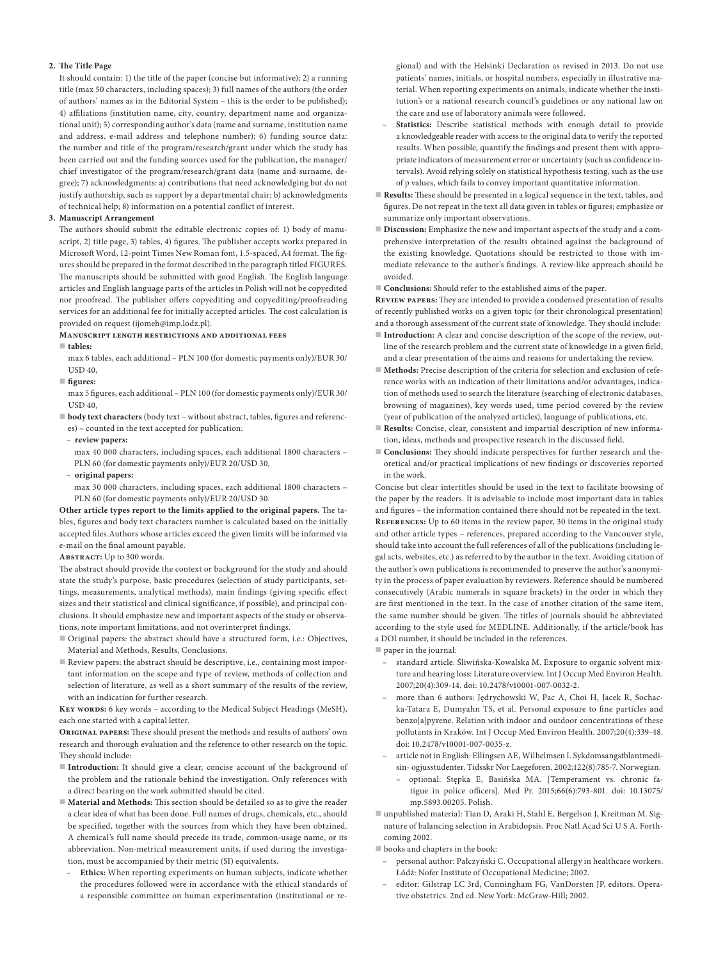#### **2. The Title Page**

It should contain: 1) the title of the paper (concise but informative); 2) a running title (max 50 characters, including spaces); 3) full names of the authors (the order of authors' names as in the Editorial System – this is the order to be published); 4) affiliations (institution name, city, country, department name and organizational unit); 5) corresponding author's data (name and surname, institution name and address, e-mail address and telephone number); 6) funding source data: the number and title of the program/research/grant under which the study has been carried out and the funding sources used for the publication, the manager/ chief investigator of the program/research/grant data (name and surname, degree); 7) acknowledgments: a) contributions that need acknowledging but do not justify authorship, such as support by a departmental chair; b) acknowledgments of technical help; 8) information on a potential conflict of interest.

#### **3. Manuscript Arrangement**

The authors should submit the editable electronic copies of: 1) body of manuscript, 2) title page, 3) tables, 4) figures. The publisher accepts works prepared in Microsoft Word, 12-point Times New Roman font, 1.5-spaced, A4 format. The figures should be prepared in the format described in the paragraph titled FIGURES. The manuscripts should be submitted with good English. The English language articles and English language parts of the articles in Polish will not be copyedited nor proofread. The publisher offers copyediting and copyediting/proofreading services for an additional fee for initially accepted articles. The cost calculation is provided on request ([ijomeh@imp.lodz.pl](mailto:ijomeh@imp.lodz.pl)).

#### **Manuscript length restrictions and additional fees**

**tables:**

max 6 tables, each additional – PLN 100 (for domestic payments only)/EUR 30/  $USD 40$ 

**figures:**

max 5 figures, each additional – PLN 100 (for domestic payments only)/EUR 30/ USD 40,

 **body text characters** (body text – without abstract, tables, figures and references) – counted in the text accepted for publication:

– **review papers:**

max 40 000 characters, including spaces, each additional 1800 characters – PLN 60 (for domestic payments only)/EUR 20/USD 30,

– **original papers:**

max 30 000 characters, including spaces, each additional 1800 characters – PLN 60 (for domestic payments only)/EUR 20/USD 30.

**Other article types report to the limits applied to the original papers.** The tables, figures and body text characters number is calculated based on the initially accepted files.Authors whose articles exceed the given limits will be informed via e-mail on the final amount payable.

### **Abstract:** Up to 300 words.

The abstract should provide the context or background for the study and should state the study's purpose, basic procedures (selection of study participants, settings, measurements, analytical methods), main findings (giving specific effect sizes and their statistical and clinical significance, if possible), and principal conclusions. It should emphasize new and important aspects of the study or observations, note important limitations, and not overinterpret findings.

- Original papers: the abstract should have a structured form, i.e.: Objectives, Material and Methods, Results, Conclusions.
- Review papers: the abstract should be descriptive, i.e., containing most important information on the scope and type of review, methods of collection and selection of literature, as well as a short summary of the results of the review, with an indication for further research.

**Key words:** 6 key words – according to the [Medical Subject Headings \(MeSH\)](https://www.nlm.nih.gov/mesh/authors.html), each one started with a capital letter.

**Original papers:** These should present the methods and results of authors' own research and thorough evaluation and the reference to other research on the topic. They should include:

- Introduction: It should give a clear, concise account of the background of the problem and the rationale behind the investigation. Only references with a direct bearing on the work submitted should be cited.
- **Material and Methods:** This section should be detailed so as to give the reader a clear idea of what has been done. Full names of drugs, chemicals, etc., should be specified, together with the sources from which they have been obtained. A chemical's full name should precede its trade, common-usage name, or its abbreviation. Non-metrical measurement units, if used during the investigation, must be accompanied by their metric (SI) equivalents.
- **Ethics:** When reporting experiments on human subjects, indicate whether the procedures followed were in accordance with the ethical standards of a responsible committee on human experimentation (institutional or re-

gional) and with the Helsinki Declaration as revised in 2013. Do not use patients' names, initials, or hospital numbers, especially in illustrative material. When reporting experiments on animals, indicate whether the institution's or a national research council's guidelines or any national law on the care and use of laboratory animals were followed.

- **Statistics:** Describe statistical methods with enough detail to provide a knowledgeable reader with access to the original data to verify the reported results. When possible, quantify the findings and present them with appropriate indicators of measurement error or uncertainty (such as confidence intervals). Avoid relying solely on statistical hypothesis testing, such as the use of p values, which fails to convey important quantitative information.
- **Results:** These should be presented in a logical sequence in the text, tables, and figures. Do not repeat in the text all data given in tables or figures; emphasize or summarize only important observations.
- **Discussion:** Emphasize the new and important aspects of the study and a comprehensive interpretation of the results obtained against the background of the existing knowledge. Quotations should be restricted to those with immediate relevance to the author's findings. A review-like approach should be avoided.

**Conclusions:** Should refer to the established aims of the paper.

**Review papers:** They are intended to provide a condensed presentation of results of recently published works on a given topic (or their chronological presentation) and a thorough assessment of the current state of knowledge. They should include:

- **Introduction:** A clear and concise description of the scope of the review, outline of the research problem and the current state of knowledge in a given field, and a clear presentation of the aims and reasons for undertaking the review.
- **Methods:** Precise description of the criteria for selection and exclusion of reference works with an indication of their limitations and/or advantages, indication of methods used to search the literature (searching of electronic databases, browsing of magazines), key words used, time period covered by the review (year of publication of the analyzed articles), language of publications, etc.
- **Results:** Concise, clear, consistent and impartial description of new information, ideas, methods and prospective research in the discussed field.
- **Conclusions:** They should indicate perspectives for further research and theoretical and/or practical implications of new findings or discoveries reported in the work.

Concise but clear intertitles should be used in the text to facilitate browsing of the paper by the readers. It is advisable to include most important data in tables and figures – the information contained there should not be repeated in the text. **References:** Up to 60 items in the review paper, 30 items in the original study and other article types – references, prepared according to the [Vancouver style,](http://www.nlm.nih.gov/bsd/uniform_requirements.html) should take into account the full references of all of the publications (including legal acts, websites, etc.) as referred to by the author in the text. Avoiding citation of the author's own publications is recommended to preserve the author's anonymity in the process of paper evaluation by reviewers. Reference should be numbered consecutively (Arabic numerals in square brackets) in the order in which they are first mentioned in the text. In the case of another citation of the same item, the same number should be given. The titles of journals should be abbreviated according to the style used for [MEDLINE.](https://www.nlm.nih.gov/pubs/factsheets/constructitle.html) Additionally, if the article/book has a DOI number, it should be included in the references.

paper in the journal:

- standard article: Śliwińska-Kowalska M. Exposure to organic solvent mixture and hearing loss: Literature overview. Int J Occup Med Environ Health. 2007;20(4):309-14. doi: 10.2478/v10001-007-0032-2.
- more than 6 authors: Jędrychowski W, Pac A, Choi H, Jacek R, Sochacka-Tatara E, Dumyahn TS, et al. Personal exposure to fine particles and benzo[a]pyrene. Relation with indoor and outdoor concentrations of these pollutants in Kraków. Int J Occup Med Environ Health. 2007;20(4):339-48. doi: 10.2478/v10001-007-0035-z.
- article not in English: Ellingsen AE, Wilhelmsen I. Sykdomsangstblantmedisin- ogjusstudenter. Tidsskr Nor Laegeforen. 2002;122(8):785-7. Norwegian.
	- optional: Stępka E, Basińska MA. [Temperament vs. chronic fatigue in police officers]. Med Pr. 2015;66(6):793-801. doi: 10.13075/ mp.5893.00205. Polish.
- unpublished material: Tian D, Araki H, Stahl E, Bergelson J, Kreitman M. Signature of balancing selection in Arabidopsis. Proc Natl Acad Sci U S A. Forthcoming 2002.

books and chapters in the book:

- personal author: Pałczyński C. Occupational allergy in healthcare workers. Łódź: Nofer Institute of Occupational Medicine; 2002.
- editor: Gilstrap LC 3rd, Cunningham FG, VanDorsten JP, editors. Operative obstetrics. 2nd ed. New York: McGraw-Hill; 2002.